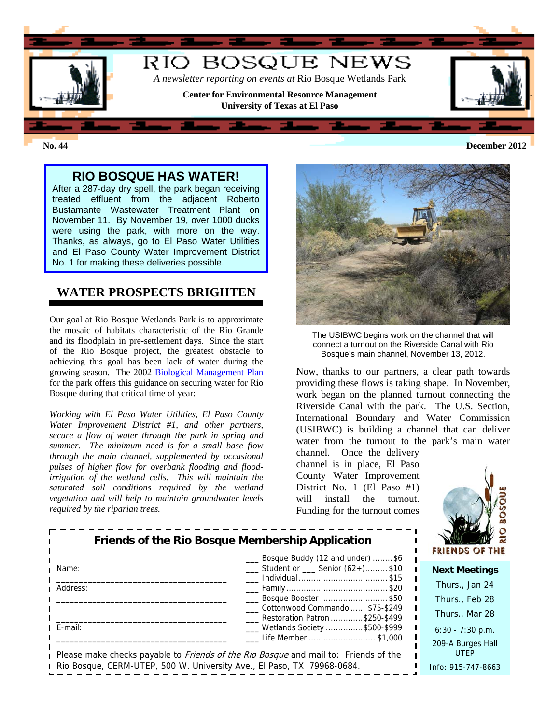

**No. 44 December 2012**

### **RIO BOSQUE HAS WATER!**

After a 287-day dry spell, the park began receiving treated effluent from the adjacent Roberto Bustamante Wastewater Treatment Plant on November 11. By November 19, over 1000 ducks were using the park, with more on the way. Thanks, as always, go to El Paso Water Utilities and El Paso County Water Improvement District No. 1 for making these deliveries possible.

## **WATER PROSPECTS BRIGHTEN**

Our goal at Rio Bosque Wetlands Park is to approximate the mosaic of habitats characteristic of the Rio Grande and its floodplain in pre-settlement days. Since the start of the Rio Bosque project, the greatest obstacle to achieving this goal has been lack of water during the growing season. The 2002 [Biological Management Plan](http://research.utep.edu/Default.aspx?tabid=67259) for the park offers this guidance on securing water for Rio Bosque during that critical time of year:

*Working with El Paso Water Utilities, El Paso County Water Improvement District #1, and other partners, secure a flow of water through the park in spring and summer. The minimum need is for a small base flow through the main channel, supplemented by occasional pulses of higher flow for overbank flooding and floodirrigation of the wetland cells. This will maintain the saturated soil conditions required by the wetland vegetation and will help to maintain groundwater levels required by the riparian trees.* 



The USIBWC begins work on the channel that will connect a turnout on the Riverside Canal with Rio Bosque's main channel, November 13, 2012.

Now, thanks to our partners, a clear path towards providing these flows is taking shape. In November, work began on the planned turnout connecting the Riverside Canal with the park. The U.S. Section, International Boundary and Water Commission (USIBWC) is building a channel that can deliver water from the turnout to the park's main water

channel. Once the delivery channel is in place, El Paso County Water Improvement District No. 1 (El Paso #1) will install the turnout. Funding for the turnout comes



| Friends of the Rio Bosque Membership Application<br>___ Bosque Buddy (12 and under) \$6 |                                                                                                                   | <b>FRIENDS OF THE</b>            |
|-----------------------------------------------------------------------------------------|-------------------------------------------------------------------------------------------------------------------|----------------------------------|
| Name:                                                                                   | $\frac{1}{1}$ Student or $\frac{1}{1}$ Senior (62+)\$10                                                           | <b>Next Meetings</b>             |
| Address:                                                                                | Individual \$15                                                                                                   | Thurs., Jan 24                   |
|                                                                                         | ___ Bosque Booster \$50                                                                                           | Thurs., Feb 28                   |
|                                                                                         | ___ Cottonwood Commando  \$75-\$249<br>Restoration Patron \$250-\$499                                             | Thurs., Mar 28                   |
| E-mail:                                                                                 | ___ Wetlands Society \$500-\$999                                                                                  | $6:30 - 7:30$ p.m.               |
|                                                                                         | Life Member \$1,000<br>Please make checks payable to <i>Friends of the Rio Bosque</i> and mail to: Friends of the | 209-A Burges Hall<br><b>UTEP</b> |
| Rio Bosque, CERM-UTEP, 500 W. University Ave., El Paso, TX 79968-0684.                  |                                                                                                                   | Info: 915-747-8663               |